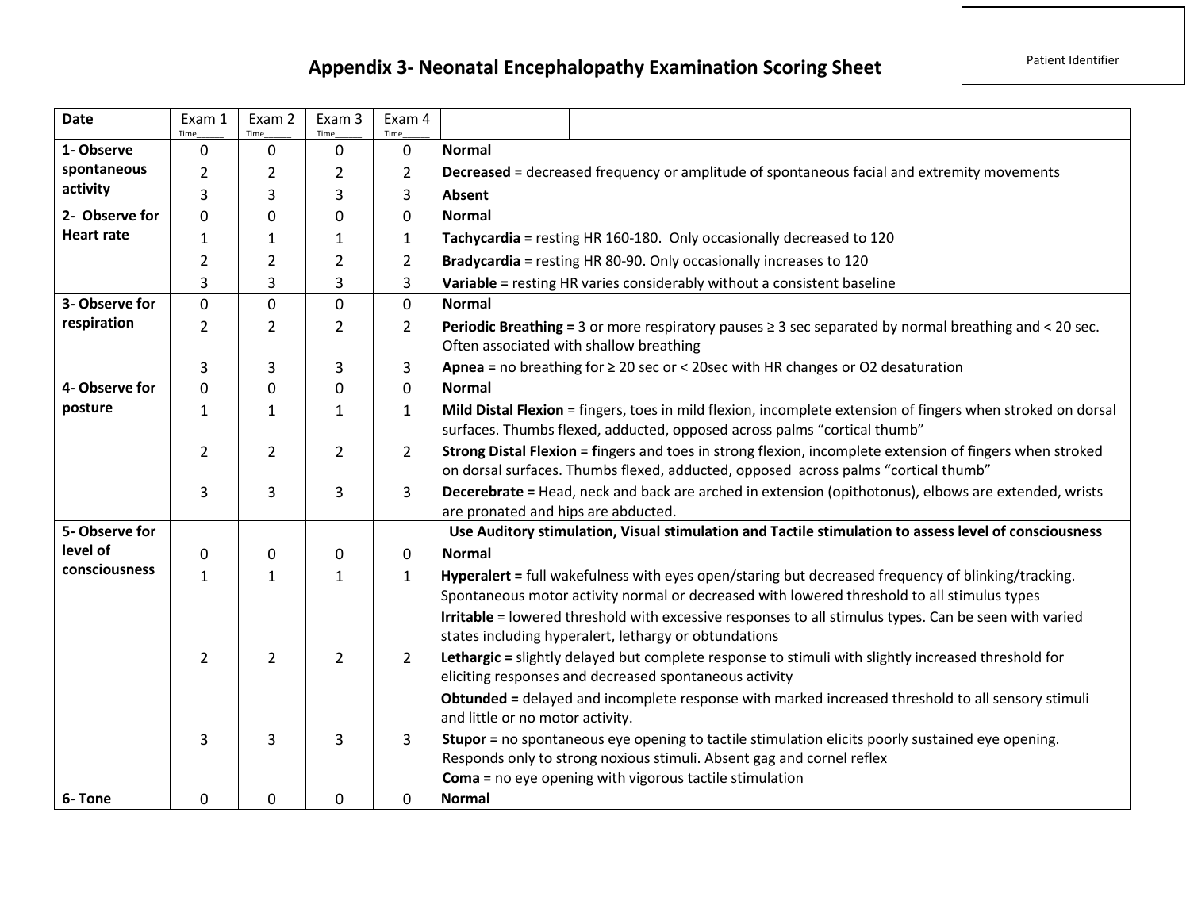## **Appendix 3- Neonatal Encephalopathy Examination Scoring Sheet** Patient Identifier

| Date              | Exam 1<br>Time | Exam 2<br>Time | Exam 3<br>Time | Exam 4<br>Time |                                                                                                                                                                                                                                                                                                                                                                               |  |  |  |  |  |  |  |
|-------------------|----------------|----------------|----------------|----------------|-------------------------------------------------------------------------------------------------------------------------------------------------------------------------------------------------------------------------------------------------------------------------------------------------------------------------------------------------------------------------------|--|--|--|--|--|--|--|
| 1- Observe        | 0              | 0              | 0              | $\mathbf 0$    | <b>Normal</b>                                                                                                                                                                                                                                                                                                                                                                 |  |  |  |  |  |  |  |
| spontaneous       | $\overline{2}$ | $\overline{2}$ | $\overline{2}$ | $\overline{2}$ | <b>Decreased = decreased frequency or amplitude of spontaneous facial and extremity movements</b>                                                                                                                                                                                                                                                                             |  |  |  |  |  |  |  |
| activity          | 3              | 3              | 3              | 3              | Absent                                                                                                                                                                                                                                                                                                                                                                        |  |  |  |  |  |  |  |
| 2- Observe for    | $\mathbf 0$    | 0              | 0              | 0              | <b>Normal</b>                                                                                                                                                                                                                                                                                                                                                                 |  |  |  |  |  |  |  |
| <b>Heart rate</b> | $\mathbf{1}$   | $\mathbf{1}$   | 1              | 1              | Tachycardia = resting HR 160-180. Only occasionally decreased to 120                                                                                                                                                                                                                                                                                                          |  |  |  |  |  |  |  |
|                   | $\overline{2}$ | $\overline{2}$ | $\overline{2}$ | $\overline{2}$ | Bradycardia = resting HR 80-90. Only occasionally increases to 120                                                                                                                                                                                                                                                                                                            |  |  |  |  |  |  |  |
|                   | 3              | 3              | 3              | 3              | Variable = resting HR varies considerably without a consistent baseline                                                                                                                                                                                                                                                                                                       |  |  |  |  |  |  |  |
| 3- Observe for    | $\mathbf 0$    | 0              | 0              | $\mathbf 0$    | <b>Normal</b>                                                                                                                                                                                                                                                                                                                                                                 |  |  |  |  |  |  |  |
| respiration       | 2              | $\overline{2}$ | 2              | $\overline{2}$ | <b>Periodic Breathing = 3 or more respiratory pauses <math>\geq 3</math> sec separated by normal breathing and &lt; 20 sec.</b><br>Often associated with shallow breathing                                                                                                                                                                                                    |  |  |  |  |  |  |  |
|                   | 3              | 3              | 3              | 3              | Apnea = no breathing for $\geq$ 20 sec or < 20sec with HR changes or O2 desaturation                                                                                                                                                                                                                                                                                          |  |  |  |  |  |  |  |
| 4- Observe for    | 0              | 0              | $\Omega$       | $\mathbf 0$    | <b>Normal</b>                                                                                                                                                                                                                                                                                                                                                                 |  |  |  |  |  |  |  |
| posture           | 1              | $\mathbf{1}$   | 1              | $\mathbf{1}$   | Mild Distal Flexion = fingers, toes in mild flexion, incomplete extension of fingers when stroked on dorsal<br>surfaces. Thumbs flexed, adducted, opposed across palms "cortical thumb"                                                                                                                                                                                       |  |  |  |  |  |  |  |
|                   | 2              | 2              | $\overline{2}$ | $\overline{2}$ | Strong Distal Flexion = fingers and toes in strong flexion, incomplete extension of fingers when stroked<br>on dorsal surfaces. Thumbs flexed, adducted, opposed across palms "cortical thumb"                                                                                                                                                                                |  |  |  |  |  |  |  |
|                   | 3              | 3              | 3              | 3              | Decerebrate = Head, neck and back are arched in extension (opithotonus), elbows are extended, wrists<br>are pronated and hips are abducted.                                                                                                                                                                                                                                   |  |  |  |  |  |  |  |
| 5-Observe for     |                |                |                |                | Use Auditory stimulation, Visual stimulation and Tactile stimulation to assess level of consciousness                                                                                                                                                                                                                                                                         |  |  |  |  |  |  |  |
| level of          | $\mathbf{0}$   | 0              | 0              | $\mathbf{0}$   | <b>Normal</b>                                                                                                                                                                                                                                                                                                                                                                 |  |  |  |  |  |  |  |
| consciousness     | $\mathbf{1}$   | $\mathbf{1}$   | 1              | 1              | Hyperalert = full wakefulness with eyes open/staring but decreased frequency of blinking/tracking.<br>Spontaneous motor activity normal or decreased with lowered threshold to all stimulus types                                                                                                                                                                             |  |  |  |  |  |  |  |
|                   |                |                |                |                | Irritable = lowered threshold with excessive responses to all stimulus types. Can be seen with varied<br>states including hyperalert, lethargy or obtundations                                                                                                                                                                                                                |  |  |  |  |  |  |  |
|                   | $\overline{2}$ | $\overline{2}$ | $\overline{2}$ | $\overline{2}$ | Lethargic = slightly delayed but complete response to stimuli with slightly increased threshold for<br>eliciting responses and decreased spontaneous activity                                                                                                                                                                                                                 |  |  |  |  |  |  |  |
|                   |                |                |                |                | Obtunded = delayed and incomplete response with marked increased threshold to all sensory stimuli<br>and little or no motor activity.<br>Stupor = no spontaneous eye opening to tactile stimulation elicits poorly sustained eye opening.<br>Responds only to strong noxious stimuli. Absent gag and cornel reflex<br>Coma = no eye opening with vigorous tactile stimulation |  |  |  |  |  |  |  |
|                   | 3              | 3              | 3              | 3              |                                                                                                                                                                                                                                                                                                                                                                               |  |  |  |  |  |  |  |
| 6-Tone            | 0              | 0              | 0              | $\mathbf 0$    | <b>Normal</b>                                                                                                                                                                                                                                                                                                                                                                 |  |  |  |  |  |  |  |